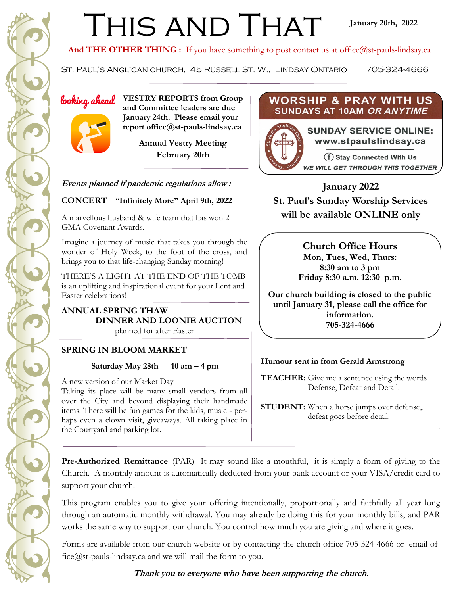# THIS AND THAT

And THE OTHER THING : If you have something to post contact us at office@st-pauls-lindsay.ca

ST. PAUL'S ANGLICAN CHURCH, 45 RUSSELL ST. W., LINDSAY ONTARIO 705-324-4666

*looking ahead* VESTRY REPORTS from Group  **and Committee leaders are due January 24th. Please email your report office@st-pauls-lindsay.ca**

> **Annual Vestry Meeting February 20th**

#### **Events planned if pandemic regulations allow :**

#### **CONCERT** "**Infinitely More" April 9th, 2022**

A marvellous husband & wife team that has won 2 GMA Covenant Awards.

Imagine a journey of music that takes you through the wonder of Holy Week, to the foot of the cross, and brings you to that life-changing Sunday morning!

THERE'S A LIGHT AT THE END OF THE TOMB is an uplifting and inspirational event for your Lent and Easter celebrations!

**ANNUAL SPRING THAW DINNER AND LOONIE AUCTION**  planned for after Easter

#### **SPRING IN BLOOM MARKET**

#### **Saturday May 28th 10 am – 4 pm**

A new version of our Market Day Taking its place will be many small vendors from all over the City and beyond displaying their handmade items. There will be fun games for the kids, music - perhaps even a clown visit, giveaways. All taking place in the Courtyard and parking lot.

#### **WORSHIP & PRAY WITH US** SUNDAYS AT 10AM OR ANYTIME



**January 2022 St. Paul's Sunday Worship Services will be available ONLINE only**

> **Church Office Hours Mon, Tues, Wed, Thurs: 8:30 am to 3 pm Friday 8:30 a.m. 12:30 p.m.**

**Our church building is closed to the public until January 31, please call the office for information. 705-324-4666**

#### **Humour sent in from Gerald Armstrong**

**TEACHER:** Give me a sentence using the words Defense, Defeat and Detail.

**STUDENT:** When a horse jumps over defense,. defeat goes before detail.

.

**Pre-Authorized Remittance** (PAR) It may sound like a mouthful, it is simply a form of giving to the Church. A monthly amount is automatically deducted from your bank account or your VISA/credit card to support your church.

This program enables you to give your offering intentionally, proportionally and faithfully all year long through an automatic monthly withdrawal. You may already be doing this for your monthly bills, and PAR works the same way to support our church. You control how much you are giving and where it goes.

Forms are available from our church website or by contacting the church office 705 324-4666 or email office@st-pauls-lindsay.ca and we will mail the form to you.

#### **Thank you to everyone who have been supporting the church.**